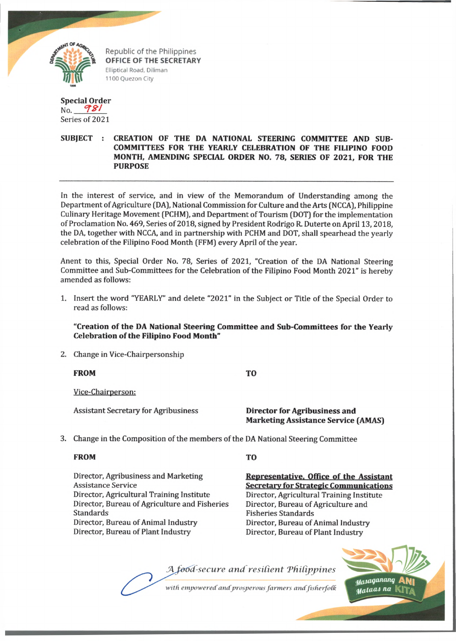

Republic of the Philippines OFFICE OF THE SECRETARY Elliptical Road, Diliman 1100 Quezon City

# **Special Order** No. *CT & ]*

Series of 2021

## **SUBJECT : CREATION OF THE DA NATIONAL STEERING COMMITTEE AND SUB-COMMITTEES FOR THE YEARLY CELEBRATION OF THE FILIPINO FOOD MONTH, AMENDING SPECIAL ORDER NO. 78, SERIES OF 2021, FOR THE PURPOSE**

In the interest of service, and in view of the Memorandum of Understanding among the Department of Agriculture (DA), National Commission for Culture and the Arts (NCCA), Philippine Culinary Heritage Movement (PCHM), and Department of Tourism (DOT) for the implementation of Proclamation No. 469, Series of 2018, signed by President Rodrigo R. Duterte on April 13,2018, the DA, together with NCCA, and in partnership with PCHM and DOT, shall spearhead the yearly celebration of the Filipino Food Month (FFM) every April of the year.

Anent to this, Special Order No. 78, Series of 2021, "Creation of the DA National Steering Committee and Sub-Committees for the Celebration of the Filipino Food Month 2021" is hereby amended as follows:

1. Insert the word "YEARLY" and delete "2021" in the Subject or Title of the Special Order to read as follows:

## **"Creation of the DA National Steering Committee and Sub-Committees for the Yearly Celebration of the Filipino Food Month"**

2. Change in Vice-Chairpersonship

**FROM TO**

Vice-Chairperson:

Assistant Secretary for Agribusiness **Director for Agribusiness and**

**Marketing Assistance Service (AMAS)**

3. Change in the Composition of the members of the DA National Steering Committee

### **FROM**

Director, Agribusiness and Marketing Assistance Service Director, Agricultural Training Institute Director, Bureau of Agriculture and Fisheries Standards Director, Bureau of Animal Industry Director, Bureau of Plant Industry

### **TO**

**Representative. Office of the Assistant Secretary for Strategic Communications** Director, Agricultural Training Institute Director, Bureau of Agriculture and Fisheries Standards Director, Bureau of Animal Industry Director, Bureau of Plant Industry

A food-secure and resilient Philippines

with empowered and prosperous farmers and fisherfolk